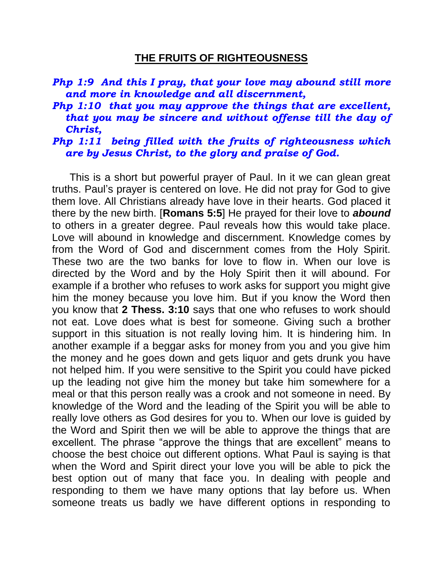## **THE FRUITS OF RIGHTEOUSNESS**

- *Php 1:9 And this I pray, that your love may abound still more and more in knowledge and all discernment,*
- *Php 1:10 that you may approve the things that are excellent, that you may be sincere and without offense till the day of Christ,*

## *Php 1:11 being filled with the fruits of righteousness which are by Jesus Christ, to the glory and praise of God.*

 This is a short but powerful prayer of Paul. In it we can glean great truths. Paul's prayer is centered on love. He did not pray for God to give them love. All Christians already have love in their hearts. God placed it there by the new birth. [**Romans 5:5**] He prayed for their love to *abound* to others in a greater degree. Paul reveals how this would take place. Love will abound in knowledge and discernment. Knowledge comes by from the Word of God and discernment comes from the Holy Spirit. These two are the two banks for love to flow in. When our love is directed by the Word and by the Holy Spirit then it will abound. For example if a brother who refuses to work asks for support you might give him the money because you love him. But if you know the Word then you know that **2 Thess. 3:10** says that one who refuses to work should not eat. Love does what is best for someone. Giving such a brother support in this situation is not really loving him. It is hindering him. In another example if a beggar asks for money from you and you give him the money and he goes down and gets liquor and gets drunk you have not helped him. If you were sensitive to the Spirit you could have picked up the leading not give him the money but take him somewhere for a meal or that this person really was a crook and not someone in need. By knowledge of the Word and the leading of the Spirit you will be able to really love others as God desires for you to. When our love is guided by the Word and Spirit then we will be able to approve the things that are excellent. The phrase "approve the things that are excellent" means to choose the best choice out different options. What Paul is saying is that when the Word and Spirit direct your love you will be able to pick the best option out of many that face you. In dealing with people and responding to them we have many options that lay before us. When someone treats us badly we have different options in responding to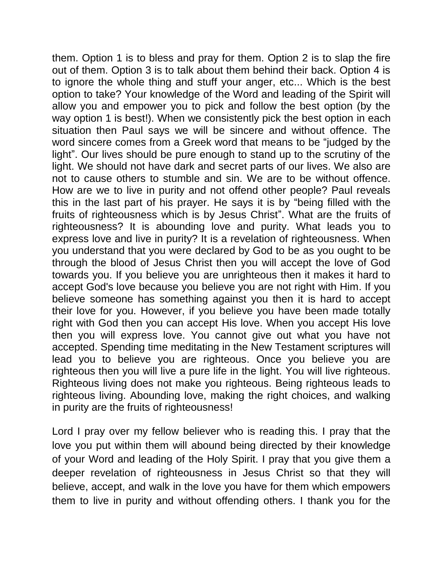them. Option 1 is to bless and pray for them. Option 2 is to slap the fire out of them. Option 3 is to talk about them behind their back. Option 4 is to ignore the whole thing and stuff your anger, etc... Which is the best option to take? Your knowledge of the Word and leading of the Spirit will allow you and empower you to pick and follow the best option (by the way option 1 is best!). When we consistently pick the best option in each situation then Paul says we will be sincere and without offence. The word sincere comes from a Greek word that means to be "judged by the light". Our lives should be pure enough to stand up to the scrutiny of the light. We should not have dark and secret parts of our lives. We also are not to cause others to stumble and sin. We are to be without offence. How are we to live in purity and not offend other people? Paul reveals this in the last part of his prayer. He says it is by "being filled with the fruits of righteousness which is by Jesus Christ". What are the fruits of righteousness? It is abounding love and purity. What leads you to express love and live in purity? It is a revelation of righteousness. When you understand that you were declared by God to be as you ought to be through the blood of Jesus Christ then you will accept the love of God towards you. If you believe you are unrighteous then it makes it hard to accept God's love because you believe you are not right with Him. If you believe someone has something against you then it is hard to accept their love for you. However, if you believe you have been made totally right with God then you can accept His love. When you accept His love then you will express love. You cannot give out what you have not accepted. Spending time meditating in the New Testament scriptures will lead you to believe you are righteous. Once you believe you are righteous then you will live a pure life in the light. You will live righteous. Righteous living does not make you righteous. Being righteous leads to righteous living. Abounding love, making the right choices, and walking in purity are the fruits of righteousness!

Lord I pray over my fellow believer who is reading this. I pray that the love you put within them will abound being directed by their knowledge of your Word and leading of the Holy Spirit. I pray that you give them a deeper revelation of righteousness in Jesus Christ so that they will believe, accept, and walk in the love you have for them which empowers them to live in purity and without offending others. I thank you for the